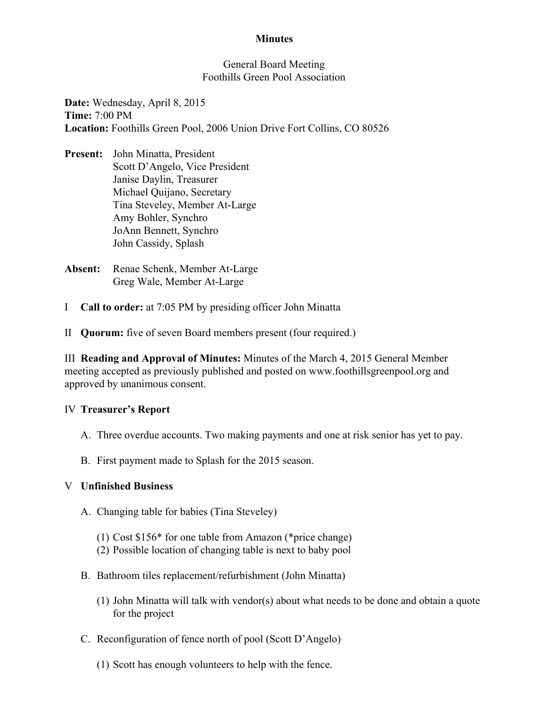## **Minutes**

#### General Board Meeting Foothills Green Pool Association

Date: Wednesday, April 8, 2015 Time: 7:00 PM Location: Foothills Green Pool, 2006 Union Drive Fort Collins, CO 80526

- Present: John Minatta, President Scott D'Angelo, Vice President Janise Daylin, Treasurer Michael Quijano, Secretary Tina Steveley, Member At-Large Amy Bohler, Synchro JoAnn Bennett, Synchro John Cassidy, Splash
- Absent: Renae Schenk, Member At-Large Greg Wale, Member At-Large
- I Call to order: at 7:05 PM by presiding officer John Minatta
- II Quorum: five of seven Board members present (four required.)

III Reading and Approval of Minutes: Minutes of the March 4, 2015 General Member meeting accepted as previously published and posted on www.foothillsgreenpool.org and approved by unanimous consent.

### IV Treasurer's Report

- A. Three overdue accounts. Two making payments and one at risk senior has yet to pay.
- B. First payment made to Splash for the 2015 season.

### V Unfinished Business

- A. Changing table for babies (Tina Steveley)
	- (1) Cost \$156\* for one table from Amazon (\*price change)
	- (2) Possible location of changing table is next to baby pool
- B. Bathroom tiles replacement/refurbishment (John Minatta)
	- (1) John Minatta will talk with vendor(s) about what needs to be done and obtain a quote for the project
- C. Reconfiguration of fence north of pool (Scott D'Angelo)
	- (1) Scott has enough volunteers to help with the fence.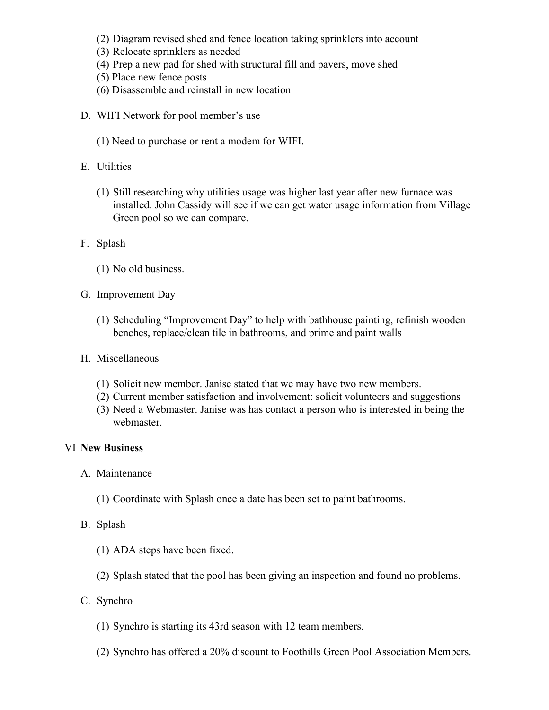- (2) Diagram revised shed and fence location taking sprinklers into account
- (3) Relocate sprinklers as needed
- (4) Prep a new pad for shed with structural fill and pavers, move shed
- (5) Place new fence posts
- (6) Disassemble and reinstall in new location
- D. WIFI Network for pool member's use
	- (1) Need to purchase or rent a modem for WIFI.
- E. Utilities
	- (1) Still researching why utilities usage was higher last year after new furnace was installed. John Cassidy will see if we can get water usage information from Village Green pool so we can compare.
- F. Splash
	- (1) No old business.
- G. Improvement Day
	- (1) Scheduling "Improvement Day" to help with bathhouse painting, refinish wooden benches, replace/clean tile in bathrooms, and prime and paint walls
- H. Miscellaneous
	- (1) Solicit new member. Janise stated that we may have two new members.
	- (2) Current member satisfaction and involvement: solicit volunteers and suggestions
	- (3) Need a Webmaster. Janise was has contact a person who is interested in being the webmaster.

### VI New Business

- A. Maintenance
	- (1) Coordinate with Splash once a date has been set to paint bathrooms.
- B. Splash
	- (1) ADA steps have been fixed.
	- (2) Splash stated that the pool has been giving an inspection and found no problems.
- C. Synchro
	- (1) Synchro is starting its 43rd season with 12 team members.
	- (2) Synchro has offered a 20% discount to Foothills Green Pool Association Members.